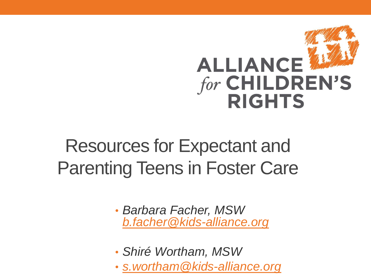

### Resources for Expectant and Parenting Teens in Foster Care

• *Barbara Facher, MSW [b.facher@kids-alliance.org](mailto:b.facher@kids-alliance.org)*

- *Shiré Wortham, MSW*
- *[s.wortham@kids-alliance.org](mailto:s.wortham@kids-alliance.org)*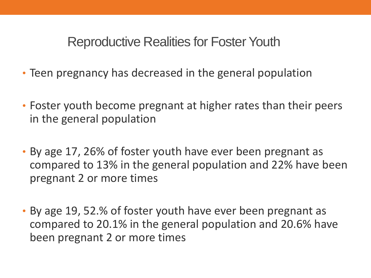Reproductive Realities for Foster Youth

- Teen pregnancy has decreased in the general population
- Foster youth become pregnant at higher rates than their peers in the general population
- By age 17, 26% of foster youth have ever been pregnant as compared to 13% in the general population and 22% have been pregnant 2 or more times
- By age 19, 52.% of foster youth have ever been pregnant as compared to 20.1% in the general population and 20.6% have been pregnant 2 or more times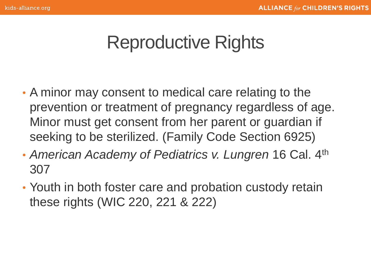### Reproductive Rights

- A minor may consent to medical care relating to the prevention or treatment of pregnancy regardless of age. Minor must get consent from her parent or guardian if seeking to be sterilized. (Family Code Section 6925)
- *American Academy of Pediatrics v. Lungren* 16 Cal. 4th 307
- Youth in both foster care and probation custody retain these rights (WIC 220, 221 & 222)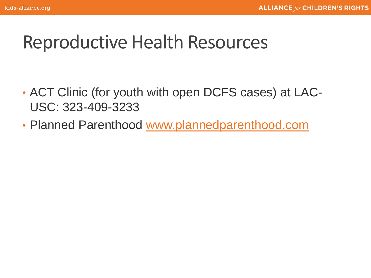### Reproductive Health Resources

- ACT Clinic (for youth with open DCFS cases) at LAC-USC: 323-409-3233
- Planned Parenthood [www.plannedparenthood.com](http://www.plannedparenthood.com/)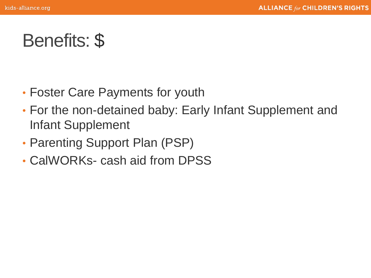### Benefits: \$

- Foster Care Payments for youth
- For the non-detained baby: Early Infant Supplement and Infant Supplement
- Parenting Support Plan (PSP)
- CalWORKs- cash aid from DPSS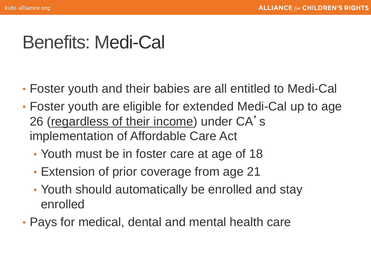### Benefits: Medi-Cal

- Foster youth and their babies are all entitled to Medi-Cal
- Foster youth are eligible for extended Medi-Cal up to age 26 (regardless of their income) under CA's implementation of Affordable Care Act
	- Youth must be in foster care at age of 18
	- Extension of prior coverage from age 21
	- Youth should automatically be enrolled and stay enrolled
- Pays for medical, dental and mental health care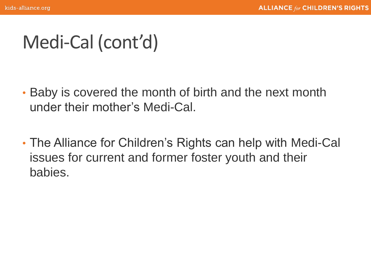### Medi-Cal (cont'd)

- Baby is covered the month of birth and the next month under their mother's Medi-Cal.
- The Alliance for Children's Rights can help with Medi-Cal issues for current and former foster youth and their babies.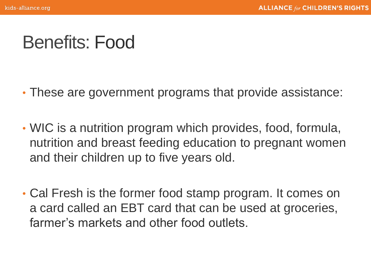### Benefits: Food

- These are government programs that provide assistance:
- WIC is a nutrition program which provides, food, formula, nutrition and breast feeding education to pregnant women and their children up to five years old.
- Cal Fresh is the former food stamp program. It comes on a card called an EBT card that can be used at groceries, farmer's markets and other food outlets.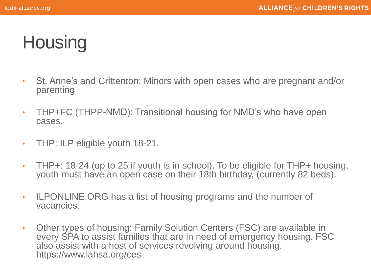### **Housing**

- St. Anne's and Crittenton: Minors with open cases who are pregnant and/or parenting
- THP+FC (THPP-NMD): Transitional housing for NMD's who have open cases.
- THP: ILP eligible youth 18-21.
- THP+: 18-24 (up to 25 if youth is in school). To be eligible for THP+ housing, youth must have an open case on their 18th birthday, (currently 82 beds).
- ILPONLINE.ORG has a list of housing programs and the number of vacancies.
- Other types of housing: Family Solution Centers (FSC) are available in every SPA to assist families that are in need of emergency housing. FSC also assist with a host of services revolving around housing. https://www.lahsa.org/ces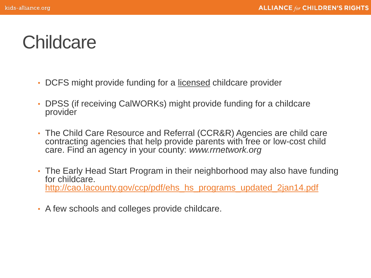### **Childcare**

- DCFS might provide funding for a licensed childcare provider
- DPSS (if receiving CalWORKs) might provide funding for a childcare provider
- The Child Care Resource and Referral (CCR&R) Agencies are child care contracting agencies that help provide parents with free or low-cost child care. Find an agency in your county: *www.rrnetwork.org*
- The Early Head Start Program in their neighborhood may also have funding for childcare. [http://cao.lacounty.gov/ccp/pdf/ehs\\_hs\\_programs\\_updated\\_2jan14.pdf](http://cao.lacounty.gov/ccp/pdf/ehs_hs_programs_updated_2jan14.pdf)
- A few schools and colleges provide childcare.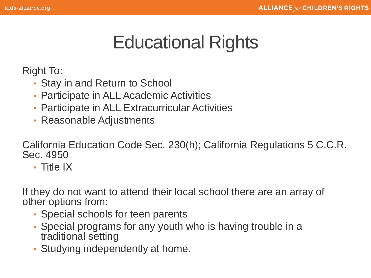### Educational Rights

Right To:

- Stay in and Return to School
- Participate in ALL Academic Activities
- Participate in ALL Extracurricular Activities
- Reasonable Adjustments

California Education Code Sec. 230(h); California Regulations 5 C.C.R. Sec. 4950

• Title IX

If they do not want to attend their local school there are an array of other options from:

- Special schools for teen parents
- Special programs for any youth who is having trouble in a traditional setting
- Studying independently at home.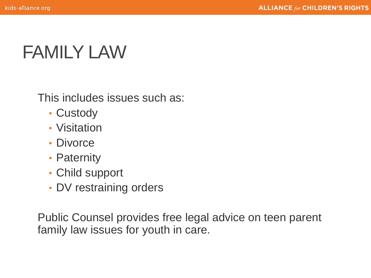### FAMILY LAW

This includes issues such as:

- Custody
- Visitation
- Divorce
- Paternity
- Child support
- DV restraining orders

Public Counsel provides free legal advice on teen parent family law issues for youth in care.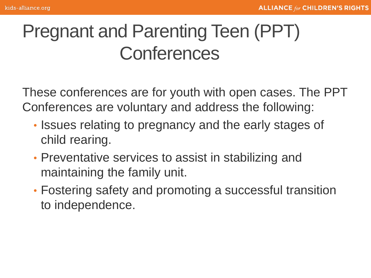### Pregnant and Parenting Teen (PPT) **Conferences**

These conferences are for youth with open cases. The PPT Conferences are voluntary and address the following:

- Issues relating to pregnancy and the early stages of child rearing.
- Preventative services to assist in stabilizing and maintaining the family unit.
- Fostering safety and promoting a successful transition to independence.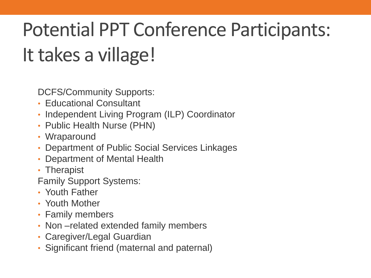# Potential PPT Conference Participants: It takes a village!

DCFS/Community Supports:

- Educational Consultant
- Independent Living Program (ILP) Coordinator
- Public Health Nurse (PHN)
- Wraparound
- Department of Public Social Services Linkages
- Department of Mental Health
- Therapist
- Family Support Systems:
- Youth Father
- Youth Mother
- Family members
- Non –related extended family members
- Caregiver/Legal Guardian
- Significant friend (maternal and paternal)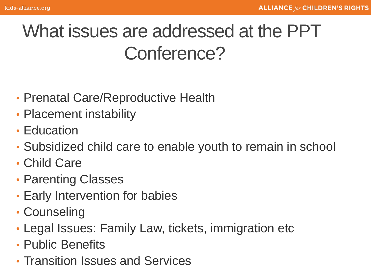### What issues are addressed at the PPT Conference?

- Prenatal Care/Reproductive Health
- Placement instability
- Education
- Subsidized child care to enable youth to remain in school
- Child Care
- Parenting Classes
- Early Intervention for babies
- Counseling
- Legal Issues: Family Law, tickets, immigration etc
- Public Benefits
- Transition Issues and Services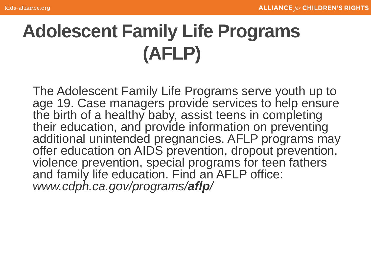# **Adolescent Family Life Programs (AFLP)**

The Adolescent Family Life Programs serve youth up to age 19. Case managers provide services to help ensure the birth of a healthy baby, assist teens in completing their education, and provide information on preventing additional unintended pregnancies. AFLP programs may offer education on AIDS prevention, dropout prevention, violence prevention, special programs for teen fathers and family life education. Find an AFLP office: *www.cdph.ca.gov/programs/aflp/*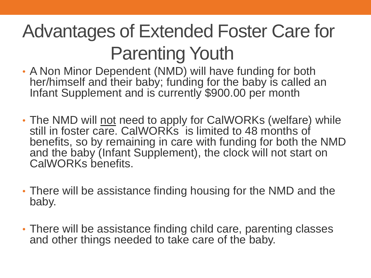## Advantages of Extended Foster Care for Parenting Youth

- A Non Minor Dependent (NMD) will have funding for both her/himself and their baby; funding for the baby is called an Infant Supplement and is currently \$900.00 per month
- The NMD will not need to apply for CalWORKs (welfare) while still in foster care. CalWORKs is limited to 48 months of benefits, so by remaining in care with funding for both the NMD and the baby (Infant Supplement), the clock will not start on CalWORKs benefits.
- There will be assistance finding housing for the NMD and the baby.
- There will be assistance finding child care, parenting classes and other things needed to take care of the baby.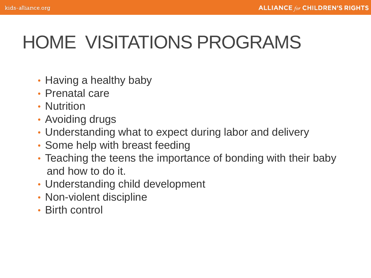#### kids-alliance.org

### HOME VISITATIONS PROGRAMS

- Having a healthy baby
- Prenatal care
- Nutrition
- Avoiding drugs
- Understanding what to expect during labor and delivery
- Some help with breast feeding
- Teaching the teens the importance of bonding with their baby and how to do it.
- Understanding child development
- Non-violent discipline
- Birth control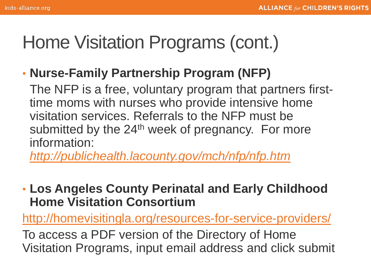### Home Visitation Programs (cont.)

#### • **Nurse-Family Partnership Program (NFP)**

The NFP is a free, voluntary program that partners firsttime moms with nurses who provide intensive home visitation services. Referrals to the NFP must be submitted by the 24<sup>th</sup> week of pregnancy. For more information:

*<http://publichealth.lacounty.gov/mch/nfp/nfp.htm>*

• **Los Angeles County Perinatal and Early Childhood Home Visitation Consortium**

<http://homevisitingla.org/resources-for-service-providers/> To access a PDF version of the Directory of Home Visitation Programs, input email address and click submit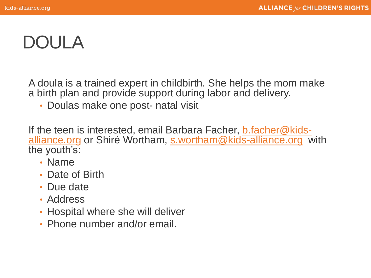### DOULA

A doula is a trained expert in childbirth. She helps the mom make a birth plan and provide support during labor and delivery.

• Doulas make one post- natal visit

[If the teen is interested, email Barbara Facher, b.facher@kids](mailto:b.facher@kids-alliance.org)alliance.org or Shiré Wortham, [s.wortham@kids-alliance.org](mailto:s.wortham@kids-alliance.org) with the youth's:

- Name
- Date of Birth
- Due date
- Address
- Hospital where she will deliver
- Phone number and/or email.